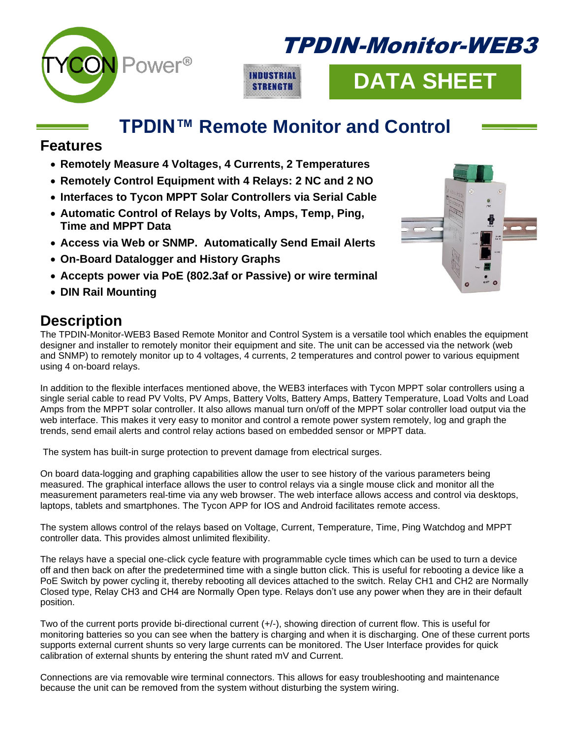

## TPDIN-Monitor-WEB3



# **DATA SHEET**

### **TPDIN™ Remote Monitor and Control**

#### **Features**

- **Remotely Measure 4 Voltages, 4 Currents, 2 Temperatures**
- **Remotely Control Equipment with 4 Relays: 2 NC and 2 NO**
- **Interfaces to Tycon MPPT Solar Controllers via Serial Cable**
- **Automatic Control of Relays by Volts, Amps, Temp, Ping, Time and MPPT Data**
- **Access via Web or SNMP. Automatically Send Email Alerts**
- **On-Board Datalogger and History Graphs**
- **Accepts power via PoE (802.3af or Passive) or wire terminal**
- **DIN Rail Mounting**

#### **Description**

The TPDIN-Monitor-WEB3 Based Remote Monitor and Control System is a versatile tool which enables the equipment designer and installer to remotely monitor their equipment and site. The unit can be accessed via the network (web and SNMP) to remotely monitor up to 4 voltages, 4 currents, 2 temperatures and control power to various equipment using 4 on-board relays.

In addition to the flexible interfaces mentioned above, the WEB3 interfaces with Tycon MPPT solar controllers using a single serial cable to read PV Volts, PV Amps, Battery Volts, Battery Amps, Battery Temperature, Load Volts and Load Amps from the MPPT solar controller. It also allows manual turn on/off of the MPPT solar controller load output via the web interface. This makes it very easy to monitor and control a remote power system remotely, log and graph the trends, send email alerts and control relay actions based on embedded sensor or MPPT data.

The system has built-in surge protection to prevent damage from electrical surges.

On board data-logging and graphing capabilities allow the user to see history of the various parameters being measured. The graphical interface allows the user to control relays via a single mouse click and monitor all the measurement parameters real-time via any web browser. The web interface allows access and control via desktops, laptops, tablets and smartphones. The Tycon APP for IOS and Android facilitates remote access.

The system allows control of the relays based on Voltage, Current, Temperature, Time, Ping Watchdog and MPPT controller data. This provides almost unlimited flexibility.

The relays have a special one-click cycle feature with programmable cycle times which can be used to turn a device off and then back on after the predetermined time with a single button click. This is useful for rebooting a device like a PoE Switch by power cycling it, thereby rebooting all devices attached to the switch. Relay CH1 and CH2 are Normally Closed type, Relay CH3 and CH4 are Normally Open type. Relays don't use any power when they are in their default position.

Two of the current ports provide bi-directional current (+/-), showing direction of current flow. This is useful for monitoring batteries so you can see when the battery is charging and when it is discharging. One of these current ports supports external current shunts so very large currents can be monitored. The User Interface provides for quick calibration of external shunts by entering the shunt rated mV and Current.

Connections are via removable wire terminal connectors. This allows for easy troubleshooting and maintenance because the unit can be removed from the system without disturbing the system wiring.

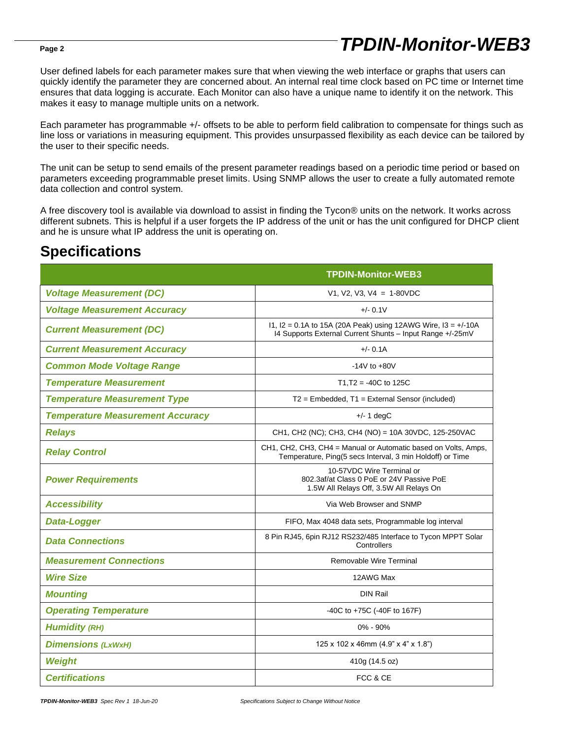## *TPDIN-Monitor-WEB3*

User defined labels for each parameter makes sure that when viewing the web interface or graphs that users can quickly identify the parameter they are concerned about. An internal real time clock based on PC time or Internet time ensures that data logging is accurate. Each Monitor can also have a unique name to identify it on the network. This makes it easy to manage multiple units on a network.

Each parameter has programmable +/- offsets to be able to perform field calibration to compensate for things such as line loss or variations in measuring equipment. This provides unsurpassed flexibility as each device can be tailored by the user to their specific needs.

The unit can be setup to send emails of the present parameter readings based on a periodic time period or based on parameters exceeding programmable preset limits. Using SNMP allows the user to create a fully automated remote data collection and control system.

A free discovery tool is available via download to assist in finding the Tycon® units on the network. It works across different subnets. This is helpful if a user forgets the IP address of the unit or has the unit configured for DHCP client and he is unsure what IP address the unit is operating on.

#### **Specifications**

|                                         | <b>TPDIN-Monitor-WEB3</b>                                                                                                     |  |
|-----------------------------------------|-------------------------------------------------------------------------------------------------------------------------------|--|
| <b>Voltage Measurement (DC)</b>         | $V1, V2, V3, V4 = 1-80VDC$                                                                                                    |  |
| <b>Voltage Measurement Accuracy</b>     | $+/- 0.1V$                                                                                                                    |  |
| <b>Current Measurement (DC)</b>         | 11, I2 = 0.1A to 15A (20A Peak) using 12AWG Wire, I3 = $+/$ -10A<br>14 Supports External Current Shunts - Input Range +/-25mV |  |
| <b>Current Measurement Accuracy</b>     | $+/- 0.1A$                                                                                                                    |  |
| <b>Common Mode Voltage Range</b>        | $-14V$ to $+80V$                                                                                                              |  |
| <b>Temperature Measurement</b>          | $T1.T2 = -40C$ to 125C                                                                                                        |  |
| <b>Temperature Measurement Type</b>     | $T2$ = Embedded, $T1$ = External Sensor (included)                                                                            |  |
| <b>Temperature Measurement Accuracy</b> | $+/- 1$ degC                                                                                                                  |  |
| <b>Relays</b>                           | CH1, CH2 (NC); CH3, CH4 (NO) = 10A 30VDC, 125-250VAC                                                                          |  |
| <b>Relay Control</b>                    | CH1, CH2, CH3, CH4 = Manual or Automatic based on Volts, Amps,<br>Temperature, Ping(5 secs Interval, 3 min Holdoff) or Time   |  |
| <b>Power Requirements</b>               | 10-57VDC Wire Terminal or<br>802.3af/at Class 0 PoE or 24V Passive PoE<br>1.5W All Relays Off, 3.5W All Relays On             |  |
| <b>Accessibility</b>                    | Via Web Browser and SNMP                                                                                                      |  |
| Data-Logger                             | FIFO, Max 4048 data sets, Programmable log interval                                                                           |  |
| <b>Data Connections</b>                 | 8 Pin RJ45, 6pin RJ12 RS232/485 Interface to Tycon MPPT Solar<br>Controllers                                                  |  |
| <b>Measurement Connections</b>          | Removable Wire Terminal                                                                                                       |  |
| <b>Wire Size</b>                        | 12AWG Max                                                                                                                     |  |
| <b>Mounting</b>                         | <b>DIN Rail</b>                                                                                                               |  |
| <b>Operating Temperature</b>            | -40C to +75C (-40F to 167F)                                                                                                   |  |
| <b>Humidity (RH)</b>                    | 0% - 90%                                                                                                                      |  |
| <b>Dimensions (LxWxH)</b>               | 125 x 102 x 46mm (4.9" x 4" x 1.8")                                                                                           |  |
| <b>Weight</b>                           | 410g (14.5 oz)                                                                                                                |  |
| <b>Certifications</b>                   | FCC & CE                                                                                                                      |  |